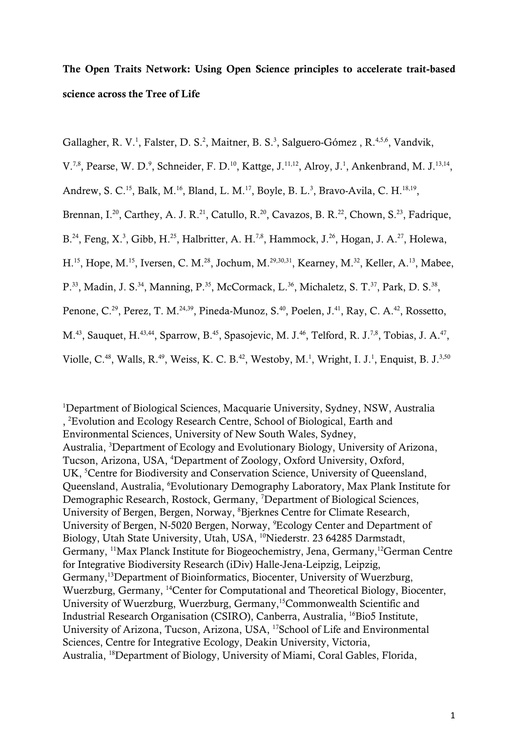## The Open Traits Network: Using Open Science principles to accelerate trait-based science across the Tree of Life

Gallagher, R. V.<sup>1</sup>, Falster, D. S.<sup>2</sup>, Maitner, B. S.<sup>3</sup>, Salguero-Gómez, R.<sup>4,5,6</sup>, Vandvik,

V.<sup>7,8</sup>, Pearse, W. D.<sup>9</sup>, Schneider, F. D.<sup>10</sup>, Kattge, J.<sup>11,12</sup>, Alroy, J.<sup>1</sup>, Ankenbrand, M. J.<sup>13,14</sup>,

Andrew, S. C.<sup>15</sup>, Balk, M.<sup>16</sup>, Bland, L. M.<sup>17</sup>, Boyle, B. L.<sup>3</sup>, Bravo-Avila, C. H.<sup>18,19</sup>,

Brennan, I.<sup>20</sup>, Carthey, A. J. R.<sup>21</sup>, Catullo, R.<sup>20</sup>, Cavazos, B. R.<sup>22</sup>, Chown, S.<sup>23</sup>, Fadrique,

B.<sup>24</sup>, Feng, X.<sup>3</sup>, Gibb, H.<sup>25</sup>, Halbritter, A. H.<sup>7,8</sup>, Hammock, J.<sup>26</sup>, Hogan, J. A.<sup>27</sup>, Holewa,

H.<sup>15</sup>, Hope, M.<sup>15</sup>, Iversen, C. M.<sup>28</sup>, Jochum, M.<sup>29,30,31</sup>, Kearney, M.<sup>32</sup>, Keller, A.<sup>13</sup>, Mabee,

P.<sup>33</sup>, Madin, J. S.<sup>34</sup>, Manning, P.<sup>35</sup>, McCormack, L.<sup>36</sup>, Michaletz, S. T.<sup>37</sup>, Park, D. S.<sup>38</sup>,

Penone, C.<sup>29</sup>, Perez, T. M.<sup>24,39</sup>, Pineda-Munoz, S.<sup>40</sup>, Poelen, J.<sup>41</sup>, Ray, C. A.<sup>42</sup>, Rossetto,

M.<sup>43</sup>, Sauquet, H.<sup>43,44</sup>, Sparrow, B.<sup>45</sup>, Spasojevic, M. J.<sup>46</sup>, Telford, R. J.<sup>7,8</sup>, Tobias, J. A.<sup>47</sup>,

Violle, C.<sup>48</sup>, Walls, R.<sup>49</sup>, Weiss, K. C. B.<sup>42</sup>, Westoby, M.<sup>1</sup>, Wright, I. J.<sup>1</sup>, Enquist, B. J.<sup>3,50</sup>

<sup>1</sup>Department of Biological Sciences, Macquarie University, Sydney, NSW, Australia , 2 Evolution and Ecology Research Centre, School of Biological, Earth and Environmental Sciences, University of New South Wales, Sydney, Australia, <sup>3</sup>Department of Ecology and Evolutionary Biology, University of Arizona, Tucson, Arizona, USA, <sup>4</sup> Department of Zoology, Oxford University, Oxford, UK, <sup>5</sup>Centre for Biodiversity and Conservation Science, University of Queensland, Queensland, Australia, <sup>6</sup>Evolutionary Demography Laboratory, Max Plank Institute for Demographic Research, Rostock, Germany, <sup>7</sup>Department of Biological Sciences, University of Bergen, Bergen, Norway, <sup>8</sup>Bjerknes Centre for Climate Research, University of Bergen, N-5020 Bergen, Norway, <sup>9</sup>Ecology Center and Department of Biology, Utah State University, Utah, USA, <sup>10</sup>Niederstr. 23 64285 Darmstadt, Germany, 11Max Planck Institute for Biogeochemistry, Jena, Germany,12German Centre for Integrative Biodiversity Research (iDiv) Halle-Jena-Leipzig, Leipzig, Germany,13Department of Bioinformatics, Biocenter, University of Wuerzburg, Wuerzburg, Germany, 14Center for Computational and Theoretical Biology, Biocenter, University of Wuerzburg, Wuerzburg, Germany,15Commonwealth Scientific and Industrial Research Organisation (CSIRO), Canberra, Australia, 16Bio5 Institute, University of Arizona, Tucson, Arizona, USA, 17School of Life and Environmental Sciences, Centre for Integrative Ecology, Deakin University, Victoria, Australia, 18Department of Biology, University of Miami, Coral Gables, Florida,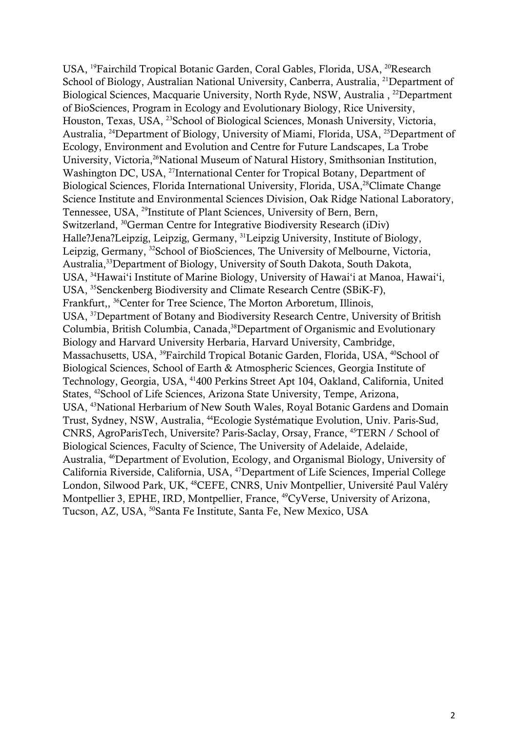USA, <sup>19</sup>Fairchild Tropical Botanic Garden, Coral Gables, Florida, USA, <sup>20</sup>Research School of Biology, Australian National University, Canberra, Australia, <sup>21</sup>Department of Biological Sciences, Macquarie University, North Ryde, NSW, Australia, <sup>22</sup>Department of BioSciences, Program in Ecology and Evolutionary Biology, Rice University, Houston, Texas, USA, 23School of Biological Sciences, Monash University, Victoria, Australia, 24Department of Biology, University of Miami, Florida, USA, 25Department of Ecology, Environment and Evolution and Centre for Future Landscapes, La Trobe University, Victoria,<sup>26</sup>National Museum of Natural History, Smithsonian Institution, Washington DC, USA, <sup>27</sup>International Center for Tropical Botany, Department of Biological Sciences, Florida International University, Florida, USA,<sup>28</sup>Climate Change Science Institute and Environmental Sciences Division, Oak Ridge National Laboratory, Tennessee, USA, 29Institute of Plant Sciences, University of Bern, Bern, Switzerland, 30German Centre for Integrative Biodiversity Research (iDiv) Halle?Jena?Leipzig, Leipzig, Germany, 31Leipzig University, Institute of Biology, Leipzig, Germany, 32School of BioSciences, The University of Melbourne, Victoria, Australia,33Department of Biology, University of South Dakota, South Dakota, USA, 34Hawai'i Institute of Marine Biology, University of Hawai'i at Manoa, Hawai'i, USA, 35Senckenberg Biodiversity and Climate Research Centre (SBiK-F), Frankfurt,, 36Center for Tree Science, The Morton Arboretum, Illinois, USA, 37Department of Botany and Biodiversity Research Centre, University of British Columbia, British Columbia, Canada,<sup>38</sup>Department of Organismic and Evolutionary Biology and Harvard University Herbaria, Harvard University, Cambridge, Massachusetts, USA, <sup>39</sup>Fairchild Tropical Botanic Garden, Florida, USA, <sup>40</sup>School of Biological Sciences, School of Earth & Atmospheric Sciences, Georgia Institute of Technology, Georgia, USA, 41400 Perkins Street Apt 104, Oakland, California, United States, 42School of Life Sciences, Arizona State University, Tempe, Arizona, USA, 43National Herbarium of New South Wales, Royal Botanic Gardens and Domain Trust, Sydney, NSW, Australia, 44Ecologie Systématique Evolution, Univ. Paris-Sud, CNRS, AgroParisTech, Universite? Paris-Saclay, Orsay, France, 45TERN / School of Biological Sciences, Faculty of Science, The University of Adelaide, Adelaide, Australia, 46Department of Evolution, Ecology, and Organismal Biology, University of California Riverside, California, USA, 47Department of Life Sciences, Imperial College London, Silwood Park, UK, 48CEFE, CNRS, Univ Montpellier, Université Paul Valéry Montpellier 3, EPHE, IRD, Montpellier, France, 49CyVerse, University of Arizona, Tucson, AZ, USA, <sup>50</sup>Santa Fe Institute, Santa Fe, New Mexico, USA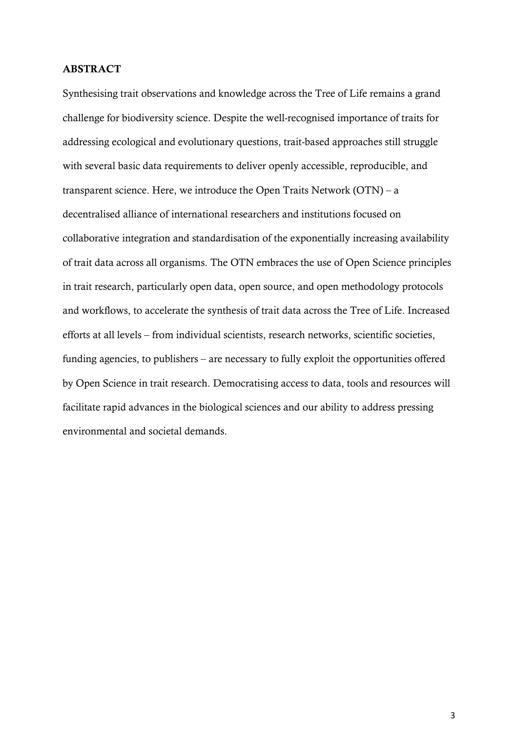#### ABSTRACT

Synthesising trait observations and knowledge across the Tree of Life remains a grand challenge for biodiversity science. Despite the well-recognised importance of traits for addressing ecological and evolutionary questions, trait-based approaches still struggle with several basic data requirements to deliver openly accessible, reproducible, and transparent science. Here, we introduce the Open Traits Network  $(OTN) - a$ decentralised alliance of international researchers and institutions focused on collaborative integration and standardisation of the exponentially increasing availability of trait data across all organisms. The OTN embraces the use of Open Science principles in trait research, particularly open data, open source, and open methodology protocols and workflows, to accelerate the synthesis of trait data across the Tree of Life. Increased efforts at all levels – from individual scientists, research networks, scientific societies, funding agencies, to publishers – are necessary to fully exploit the opportunities offered by Open Science in trait research. Democratising access to data, tools and resources will facilitate rapid advances in the biological sciences and our ability to address pressing environmental and societal demands.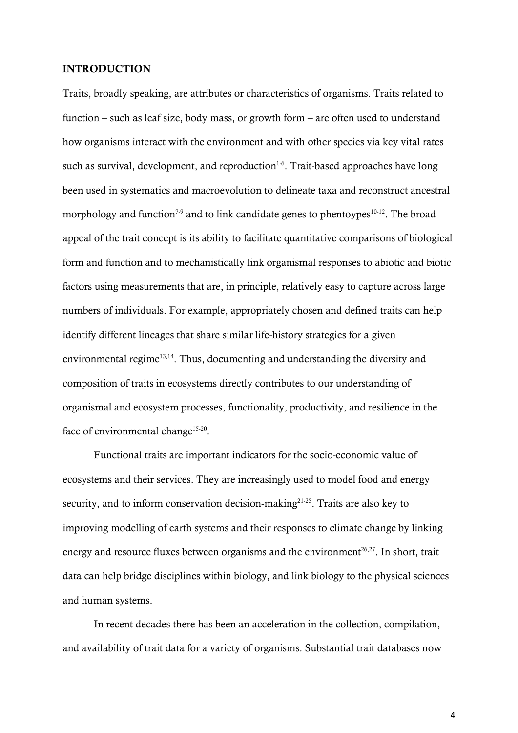#### INTRODUCTION

Traits, broadly speaking, are attributes or characteristics of organisms. Traits related to function – such as leaf size, body mass, or growth form – are often used to understand how organisms interact with the environment and with other species via key vital rates such as survival, development, and reproduction<sup>1-6</sup>. Trait-based approaches have long been used in systematics and macroevolution to delineate taxa and reconstruct ancestral morphology and function<sup>7-9</sup> and to link candidate genes to phentoypes<sup>10-12</sup>. The broad appeal of the trait concept is its ability to facilitate quantitative comparisons of biological form and function and to mechanistically link organismal responses to abiotic and biotic factors using measurements that are, in principle, relatively easy to capture across large numbers of individuals. For example, appropriately chosen and defined traits can help identify different lineages that share similar life-history strategies for a given environmental regime<sup>13,14</sup>. Thus, documenting and understanding the diversity and composition of traits in ecosystems directly contributes to our understanding of organismal and ecosystem processes, functionality, productivity, and resilience in the face of environmental change<sup>15-20</sup>.

Functional traits are important indicators for the socio-economic value of ecosystems and their services. They are increasingly used to model food and energy security, and to inform conservation decision-making $2^{1-25}$ . Traits are also key to improving modelling of earth systems and their responses to climate change by linking energy and resource fluxes between organisms and the environment<sup>26,27</sup>. In short, trait data can help bridge disciplines within biology, and link biology to the physical sciences and human systems.

In recent decades there has been an acceleration in the collection, compilation, and availability of trait data for a variety of organisms. Substantial trait databases now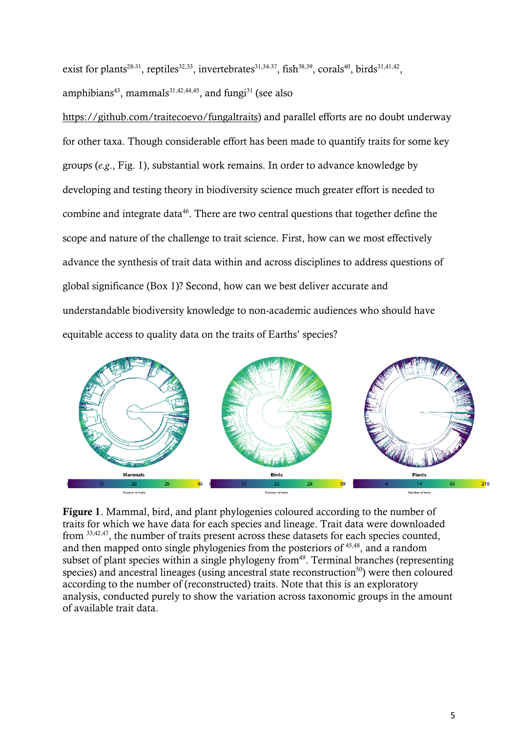exist for plants<sup>28.31</sup>, reptiles<sup>32,33</sup>, invertebrates<sup>31,34.37</sup>, fish<sup>38,39</sup>, corals<sup>40</sup>, birds<sup>31,41,42</sup>, amphibians<sup>43</sup>, mammals<sup>31,42,44,45</sup>, and fungi<sup>31</sup> (see also

[https://github.com/traitecoevo/fungaltraits\)](https://github.com/traitecoevo/fungaltraits) and parallel efforts are no doubt underway for other taxa. Though considerable effort has been made to quantify traits for some key groups (*e.g*., Fig. 1), substantial work remains. In order to advance knowledge by developing and testing theory in biodiversity science much greater effort is needed to combine and integrate data<sup>46</sup>. There are two central questions that together define the scope and nature of the challenge to trait science. First, how can we most effectively advance the synthesis of trait data within and across disciplines to address questions of global significance (Box 1)? Second, how can we best deliver accurate and understandable biodiversity knowledge to non-academic audiences who should have equitable access to quality data on the traits of Earths' species?



Figure 1. Mammal, bird, and plant phylogenies coloured according to the number of traits for which we have data for each species and lineage. Trait data were downloaded from 33,42,47, the number of traits present across these datasets for each species counted, and then mapped onto single phylogenies from the posteriors of 45,48, and a random subset of plant species within a single phylogeny from<sup>49</sup>. Terminal branches (representing species) and ancestral lineages (using ancestral state reconstruction<sup>50</sup>) were then coloured according to the number of (reconstructed) traits. Note that this is an exploratory analysis, conducted purely to show the variation across taxonomic groups in the amount of available trait data.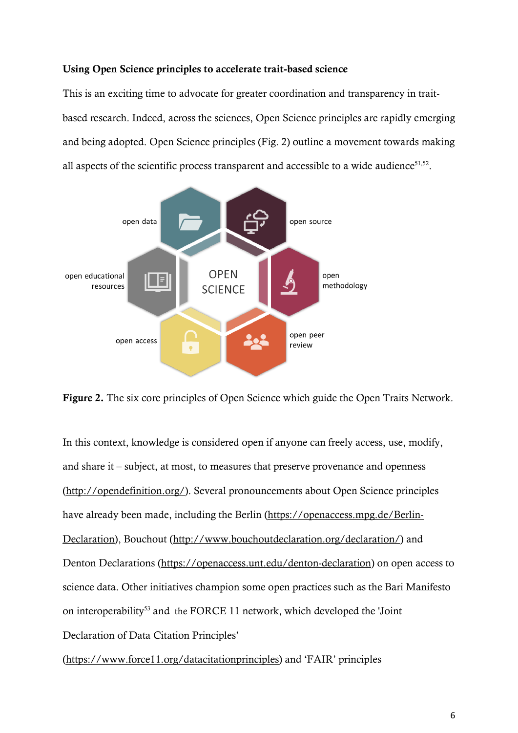## Using Open Science principles to accelerate trait-based science

This is an exciting time to advocate for greater coordination and transparency in traitbased research. Indeed, across the sciences, Open Science principles are rapidly emerging and being adopted. Open Science principles (Fig. 2) outline a movement towards making all aspects of the scientific process transparent and accessible to a wide audience<sup>51,52</sup>.



Figure 2. The six core principles of Open Science which guide the Open Traits Network.

In this context, knowledge is considered open if anyone can freely access, use, modify, and share it – subject, at most, to measures that preserve provenance and openness [\(http://opendefinition.org/\)](http://opendefinition.org/). Several pronouncements about Open Science principles have already been made, including the Berlin [\(https://openaccess.mpg.de/Berlin-](https://openaccess.mpg.de/Berlin-Declaration)[Declaration\)](https://openaccess.mpg.de/Berlin-Declaration), Bouchout [\(http://www.bouchoutdeclaration.org/declaration/\)](http://www.bouchoutdeclaration.org/declaration/) and Denton Declarations [\(https://openaccess.unt.edu/denton-declaration\)](https://openaccess.unt.edu/denton-declaration) on open access to science data. Other initiatives champion some open practices such as the Bari Manifesto on interoperability<sup>53</sup> and the FORCE 11 network, which developed the 'Joint' Declaration of Data Citation Principles'

[\(https://www.force11.org/datacitationprinciples\)](https://www.force11.org/datacitationprinciples) and 'FAIR' principles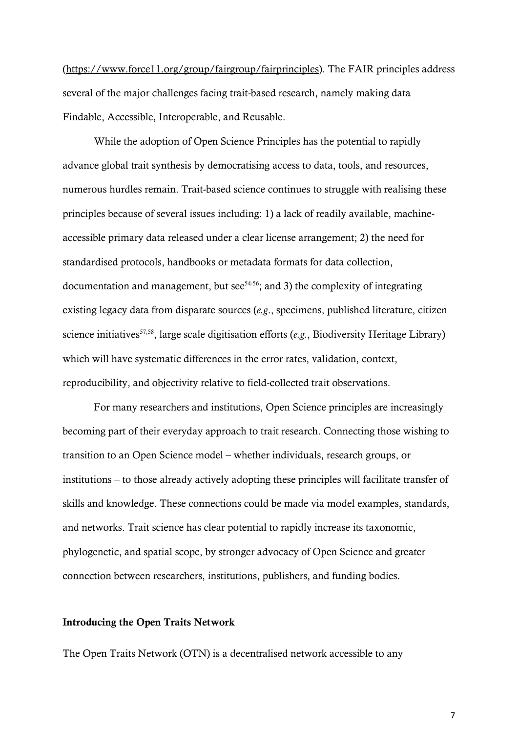[\(https://www.force11.org/group/fairgroup/fairprinciples\)](https://www.force11.org/group/fairgroup/fairprinciples). The FAIR principles address several of the major challenges facing trait-based research, namely making data Findable, Accessible, Interoperable, and Reusable.

While the adoption of Open Science Principles has the potential to rapidly advance global trait synthesis by democratising access to data, tools, and resources, numerous hurdles remain. Trait-based science continues to struggle with realising these principles because of several issues including: 1) a lack of readily available, machineaccessible primary data released under a clear license arrangement; 2) the need for standardised protocols, handbooks or metadata formats for data collection, documentation and management, but see<sup> $54-56$ </sup>; and 3) the complexity of integrating existing legacy data from disparate sources (*e.g*., specimens, published literature, citizen science initiatives<sup>57,58</sup>, large scale digitisation efforts (e.g., Biodiversity Heritage Library) which will have systematic differences in the error rates, validation, context, reproducibility, and objectivity relative to field-collected trait observations.

For many researchers and institutions, Open Science principles are increasingly becoming part of their everyday approach to trait research. Connecting those wishing to transition to an Open Science model – whether individuals, research groups, or institutions – to those already actively adopting these principles will facilitate transfer of skills and knowledge. These connections could be made via model examples, standards, and networks. Trait science has clear potential to rapidly increase its taxonomic, phylogenetic, and spatial scope, by stronger advocacy of Open Science and greater connection between researchers, institutions, publishers, and funding bodies.

#### Introducing the Open Traits Network

The Open Traits Network (OTN) is a decentralised network accessible to any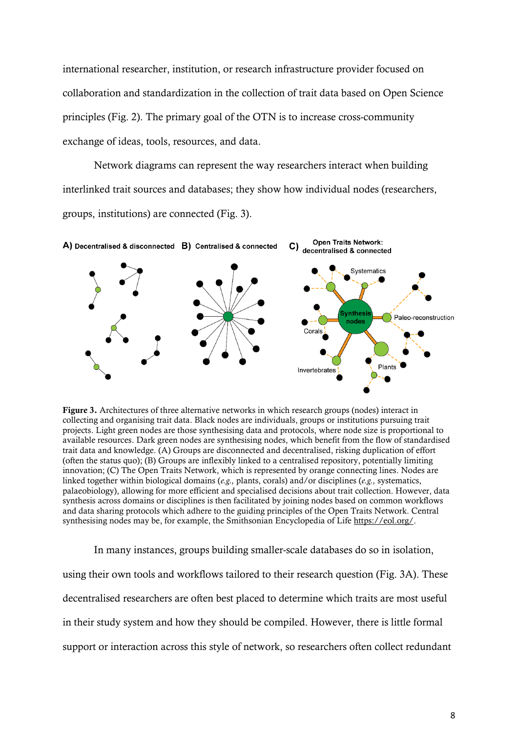international researcher, institution, or research infrastructure provider focused on collaboration and standardization in the collection of trait data based on Open Science principles (Fig. 2). The primary goal of the OTN is to increase cross-community exchange of ideas, tools, resources, and data.

Network diagrams can represent the way researchers interact when building interlinked trait sources and databases; they show how individual nodes (researchers, groups, institutions) are connected (Fig. 3).



Figure 3. Architectures of three alternative networks in which research groups (nodes) interact in collecting and organising trait data. Black nodes are individuals, groups or institutions pursuing trait projects. Light green nodes are those synthesising data and protocols, where node size is proportional to available resources. Dark green nodes are synthesising nodes, which benefit from the flow of standardised trait data and knowledge. (A) Groups are disconnected and decentralised, risking duplication of effort (often the status quo); (B) Groups are inflexibly linked to a centralised repository, potentially limiting innovation; (C) The Open Traits Network, which is represented by orange connecting lines. Nodes are linked together within biological domains (*e.g.,* plants, corals) and/or disciplines (*e.g.,* systematics, palaeobiology), allowing for more efficient and specialised decisions about trait collection. However, data synthesis across domains or disciplines is then facilitated by joining nodes based on common workflows and data sharing protocols which adhere to the guiding principles of the Open Traits Network. Central synthesising nodes may be, for example, the Smithsonian Encyclopedia of Life [https://eol.org/.](https://eol.org/)

In many instances, groups building smaller-scale databases do so in isolation, using their own tools and workflows tailored to their research question (Fig. 3A). These decentralised researchers are often best placed to determine which traits are most useful in their study system and how they should be compiled. However, there is little formal support or interaction across this style of network, so researchers often collect redundant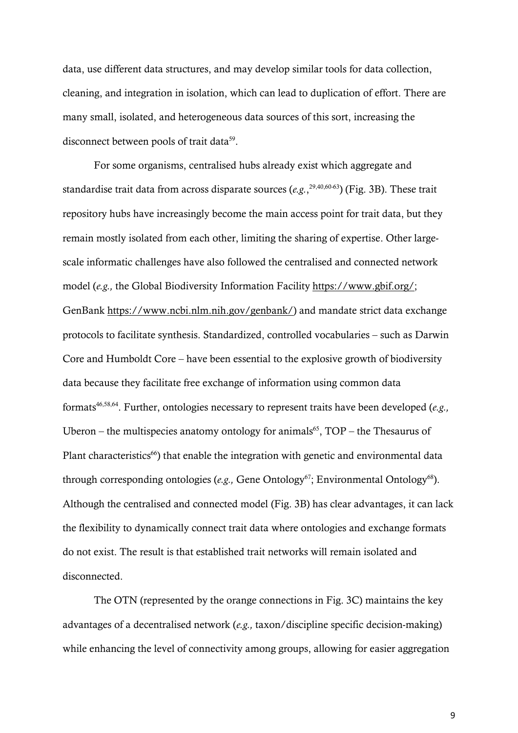data, use different data structures, and may develop similar tools for data collection, cleaning, and integration in isolation, which can lead to duplication of effort. There are many small, isolated, and heterogeneous data sources of this sort, increasing the disconnect between pools of trait data<sup>59</sup>.

For some organisms, centralised hubs already exist which aggregate and standardise trait data from across disparate sources (*e.g.*, 29,40,60-63) (Fig. 3B). These trait repository hubs have increasingly become the main access point for trait data, but they remain mostly isolated from each other, limiting the sharing of expertise. Other largescale informatic challenges have also followed the centralised and connected network model (*e.g.,* the Global Biodiversity Information Facility [https://www.gbif.org/;](https://www.gbif.org/) GenBank [https://www.ncbi.nlm.nih.gov/genbank/\)](https://www.ncbi.nlm.nih.gov/genbank/) and mandate strict data exchange protocols to facilitate synthesis. Standardized, controlled vocabularies – such as Darwin Core and Humboldt Core – have been essential to the explosive growth of biodiversity data because they facilitate free exchange of information using common data formats46,58,64. Further, ontologies necessary to represent traits have been developed (*e.g.,* Uberon – the multispecies anatomy ontology for animals<sup>65</sup>,  $TOP$  – the Thesaurus of Plant characteristics<sup>66</sup>) that enable the integration with genetic and environmental data through corresponding ontologies (*e.g.*, Gene Ontology<sup>67</sup>; Environmental Ontology<sup>68</sup>). Although the centralised and connected model (Fig. 3B) has clear advantages, it can lack the flexibility to dynamically connect trait data where ontologies and exchange formats do not exist. The result is that established trait networks will remain isolated and disconnected.

The OTN (represented by the orange connections in Fig. 3C) maintains the key advantages of a decentralised network (*e.g.,* taxon/discipline specific decision-making) while enhancing the level of connectivity among groups, allowing for easier aggregation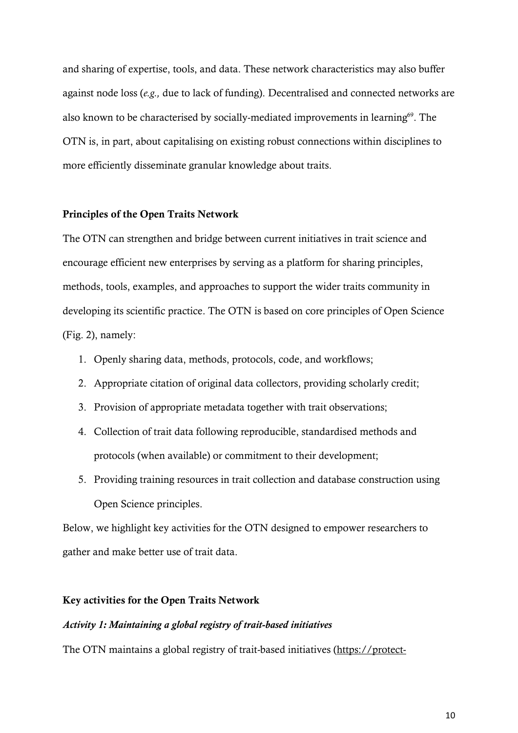and sharing of expertise, tools, and data. These network characteristics may also buffer against node loss (*e.g.,* due to lack of funding). Decentralised and connected networks are also known to be characterised by socially-mediated improvements in learning $69$ . The OTN is, in part, about capitalising on existing robust connections within disciplines to more efficiently disseminate granular knowledge about traits.

## Principles of the Open Traits Network

The OTN can strengthen and bridge between current initiatives in trait science and encourage efficient new enterprises by serving as a platform for sharing principles, methods, tools, examples, and approaches to support the wider traits community in developing its scientific practice. The OTN is based on core principles of Open Science (Fig. 2), namely:

- 1. Openly sharing data, methods, protocols, code, and workflows;
- 2. Appropriate citation of original data collectors, providing scholarly credit;
- 3. Provision of appropriate metadata together with trait observations;
- 4. Collection of trait data following reproducible, standardised methods and protocols (when available) or commitment to their development;
- 5. Providing training resources in trait collection and database construction using Open Science principles.

Below, we highlight key activities for the OTN designed to empower researchers to gather and make better use of trait data.

#### Key activities for the Open Traits Network

## *Activity 1: Maintaining a global registry of trait-based initiatives*

The OTN maintains a global registry of trait-based initiatives [\(https://protect-](https://protect-au.mimecast.com/s/Fu2DCyoj8PuyX879TZG_y5?domain=docs.google.com)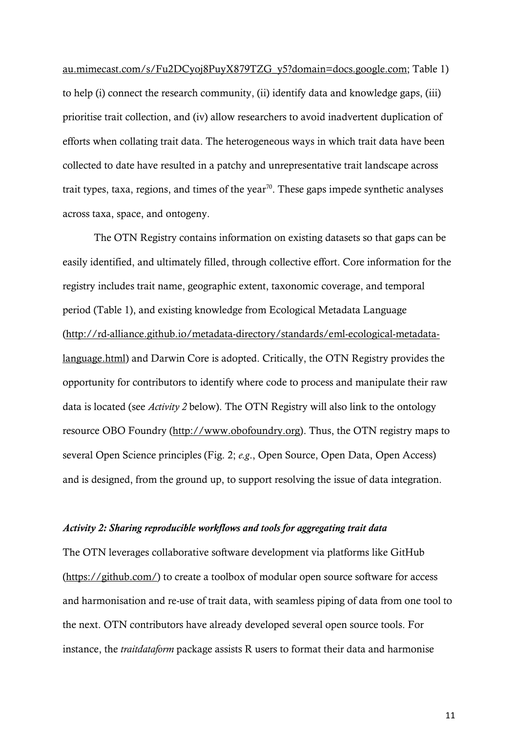[au.mimecast.com/s/Fu2DCyoj8PuyX879TZG\\_y5?domain=docs.google.com;](https://protect-au.mimecast.com/s/Fu2DCyoj8PuyX879TZG_y5?domain=docs.google.com) Table 1) to help (i) connect the research community, (ii) identify data and knowledge gaps, (iii) prioritise trait collection, and (iv) allow researchers to avoid inadvertent duplication of efforts when collating trait data. The heterogeneous ways in which trait data have been collected to date have resulted in a patchy and unrepresentative trait landscape across trait types, taxa, regions, and times of the year<sup>70</sup>. These gaps impede synthetic analyses across taxa, space, and ontogeny.

The OTN Registry contains information on existing datasets so that gaps can be easily identified, and ultimately filled, through collective effort. Core information for the registry includes trait name, geographic extent, taxonomic coverage, and temporal period (Table 1), and existing knowledge from Ecological Metadata Language [\(http://rd-alliance.github.io/metadata-directory/standards/eml-ecological-metadata](http://rd-alliance.github.io/metadata-directory/standards/eml-ecological-metadata-language.html)[language.html\)](http://rd-alliance.github.io/metadata-directory/standards/eml-ecological-metadata-language.html) and Darwin Core is adopted. Critically, the OTN Registry provides the opportunity for contributors to identify where code to process and manipulate their raw data is located (see *Activity 2* below). The OTN Registry will also link to the ontology resource OBO Foundry [\(http://www.obofoundry.org\)](http://www.obofoundry.org/). Thus, the OTN registry maps to several Open Science principles (Fig. 2; *e.g*., Open Source, Open Data, Open Access) and is designed, from the ground up, to support resolving the issue of data integration.

#### *Activity 2: Sharing reproducible workflows and tools for aggregating trait data*

The OTN leverages collaborative software development via platforms like GitHub [\(https://github.com/\)](https://github.com/) to create a toolbox of modular open source software for access and harmonisation and re-use of trait data, with seamless piping of data from one tool to the next. OTN contributors have already developed several open source tools. For instance, the *traitdataform* package assists R users to format their data and harmonise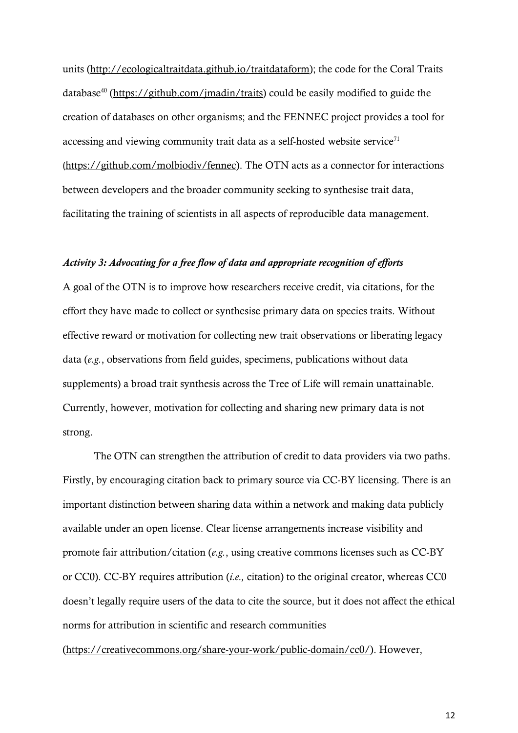units [\(http://ecologicaltraitdata.github.io/traitdataform\)](http://ecologicaltraitdata.github.io/traitdataform); the code for the Coral Traits database40 [\(https://github.com/jmadin/traits\)](https://github.com/jmadin/traits) could be easily modified to guide the creation of databases on other organisms; and the FENNEC project provides a tool for accessing and viewing community trait data as a self-hosted website service<sup> $71$ </sup> ([https://github.com/molbiodiv/fennec\)](https://github.com/molbiodiv/fennec). The OTN acts as a connector for interactions between developers and the broader community seeking to synthesise trait data, facilitating the training of scientists in all aspects of reproducible data management.

## *Activity 3: Advocating for a free flow of data and appropriate recognition of efforts*

A goal of the OTN is to improve how researchers receive credit, via citations, for the effort they have made to collect or synthesise primary data on species traits. Without effective reward or motivation for collecting new trait observations or liberating legacy data (*e.g.*, observations from field guides, specimens, publications without data supplements) a broad trait synthesis across the Tree of Life will remain unattainable. Currently, however, motivation for collecting and sharing new primary data is not strong.

The OTN can strengthen the attribution of credit to data providers via two paths. Firstly, by encouraging citation back to primary source via CC-BY licensing. There is an important distinction between sharing data within a network and making data publicly available under an open license. Clear license arrangements increase visibility and promote fair attribution/citation (*e.g.*, using creative commons licenses such as CC-BY or CC0). CC-BY requires attribution (*i.e.,* citation) to the original creator, whereas CC0 doesn't legally require users of the data to cite the source, but it does not affect the ethical norms for attribution in scientific and research communities [\(https://creativecommons.org/share-your-work/public-domain/cc0/\)](https://creativecommons.org/share-your-work/public-domain/cc0/). However,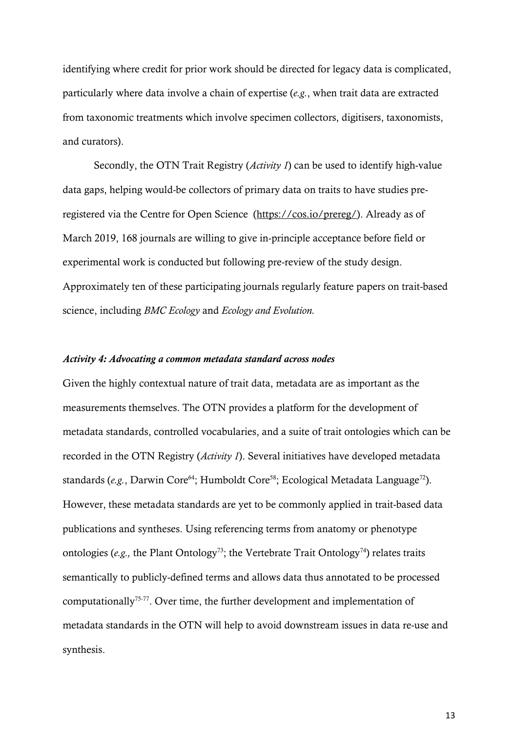identifying where credit for prior work should be directed for legacy data is complicated, particularly where data involve a chain of expertise (*e.g.*, when trait data are extracted from taxonomic treatments which involve specimen collectors, digitisers, taxonomists, and curators).

Secondly, the OTN Trait Registry (*Activity 1*) can be used to identify high-value data gaps, helping would-be collectors of primary data on traits to have studies preregistered via the Centre for Open Science [\(https://cos.io/prereg/\)](https://cos.io/prereg/). Already as of March 2019, 168 journals are willing to give in-principle acceptance before field or experimental work is conducted but following pre-review of the study design. Approximately ten of these participating journals regularly feature papers on trait-based science, including *BMC Ecology* and *Ecology and Evolution.*

#### *Activity 4: Advocating a common metadata standard across nodes*

Given the highly contextual nature of trait data, metadata are as important as the measurements themselves. The OTN provides a platform for the development of metadata standards, controlled vocabularies, and a suite of trait ontologies which can be recorded in the OTN Registry (*Activity 1*). Several initiatives have developed metadata standards (*e.g.*, Darwin Core<sup>64</sup>; Humboldt Core<sup>58</sup>; Ecological Metadata Language<sup>72</sup>). However, these metadata standards are yet to be commonly applied in trait-based data publications and syntheses. Using referencing terms from anatomy or phenotype ontologies (*e.g.*, the Plant Ontology<sup>73</sup>; the Vertebrate Trait Ontology<sup>74</sup>) relates traits semantically to publicly-defined terms and allows data thus annotated to be processed computationally75-77. Over time, the further development and implementation of metadata standards in the OTN will help to avoid downstream issues in data re-use and synthesis.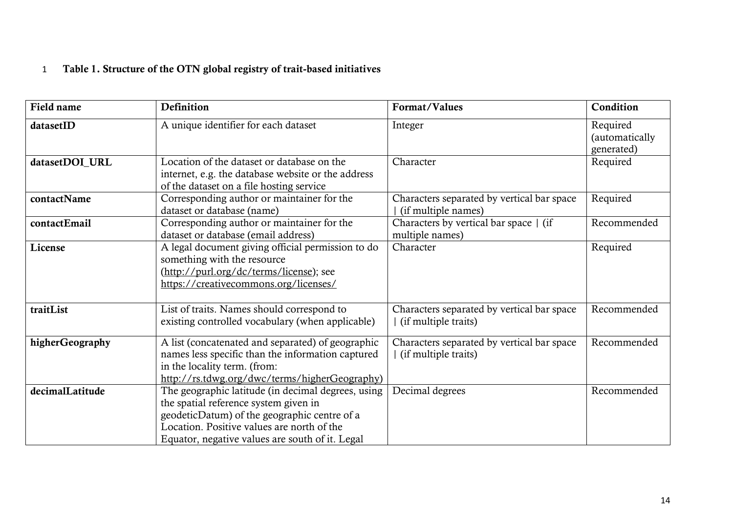## 1 Table 1. Structure of the OTN global registry of trait-based initiatives

| Field name      | Definition                                                                                                                                                                                                                                   | Format/Values                                                      | Condition                                |
|-----------------|----------------------------------------------------------------------------------------------------------------------------------------------------------------------------------------------------------------------------------------------|--------------------------------------------------------------------|------------------------------------------|
| datasetID       | A unique identifier for each dataset                                                                                                                                                                                                         | Integer                                                            | Required<br>(automatically<br>generated) |
| datasetDOI_URL  | Location of the dataset or database on the<br>internet, e.g. the database website or the address<br>of the dataset on a file hosting service                                                                                                 | Character                                                          | Required                                 |
| contactName     | Corresponding author or maintainer for the<br>dataset or database (name)                                                                                                                                                                     | Characters separated by vertical bar space<br>(if multiple names)  | Required                                 |
| contactEmail    | Corresponding author or maintainer for the<br>dataset or database (email address)                                                                                                                                                            | Characters by vertical bar space   (if<br>multiple names)          | Recommended                              |
| License         | A legal document giving official permission to do<br>something with the resource<br>(http://purl.org/dc/terms/license); see<br>https://creativecommons.org/licenses/                                                                         | Character                                                          | Required                                 |
| traitList       | List of traits. Names should correspond to<br>existing controlled vocabulary (when applicable)                                                                                                                                               | Characters separated by vertical bar space<br>(if multiple traits) | Recommended                              |
| higherGeography | A list (concatenated and separated) of geographic<br>names less specific than the information captured<br>in the locality term. (from:<br>http://rs.tdwg.org/dwc/terms/higherGeography)                                                      | Characters separated by vertical bar space<br>(if multiple traits) | Recommended                              |
| decimalLatitude | The geographic latitude (in decimal degrees, using<br>the spatial reference system given in<br>geodeticDatum) of the geographic centre of a<br>Location. Positive values are north of the<br>Equator, negative values are south of it. Legal | Decimal degrees                                                    | Recommended                              |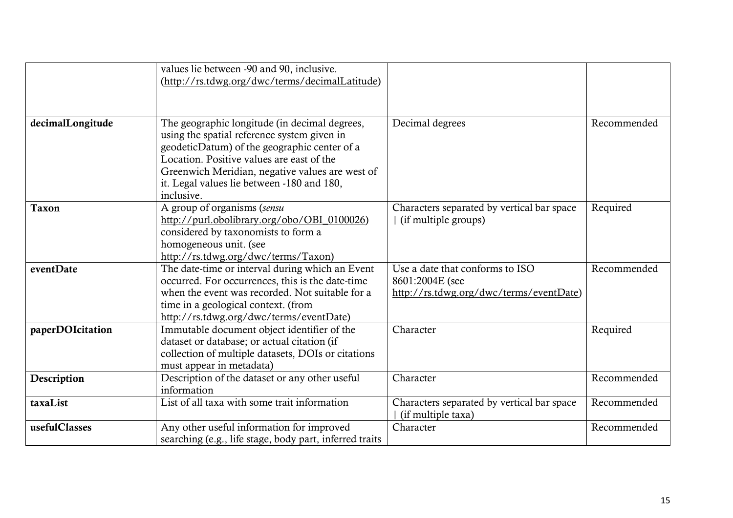|                  | values lie between -90 and 90, inclusive.<br>(http://rs.tdwg.org/dwc/terms/decimalLatitude) |                                            |             |
|------------------|---------------------------------------------------------------------------------------------|--------------------------------------------|-------------|
|                  |                                                                                             |                                            |             |
| decimalLongitude | The geographic longitude (in decimal degrees,                                               | Decimal degrees                            | Recommended |
|                  | using the spatial reference system given in                                                 |                                            |             |
|                  | geodeticDatum) of the geographic center of a                                                |                                            |             |
|                  | Location. Positive values are east of the                                                   |                                            |             |
|                  | Greenwich Meridian, negative values are west of                                             |                                            |             |
|                  | it. Legal values lie between -180 and 180,                                                  |                                            |             |
|                  | inclusive.                                                                                  |                                            |             |
| <b>Taxon</b>     | A group of organisms (sensu                                                                 | Characters separated by vertical bar space | Required    |
|                  | http://purl.obolibrary.org/obo/OBI 0100026)                                                 | (if multiple groups)                       |             |
|                  | considered by taxonomists to form a                                                         |                                            |             |
|                  | homogeneous unit. (see                                                                      |                                            |             |
|                  | http://rs.tdwg.org/dwc/terms/Taxon)                                                         |                                            |             |
| eventDate        | The date-time or interval during which an Event                                             | Use a date that conforms to ISO            | Recommended |
|                  | occurred. For occurrences, this is the date-time                                            | 8601:2004E (see                            |             |
|                  | when the event was recorded. Not suitable for a                                             | http://rs.tdwg.org/dwc/terms/eventDate)    |             |
|                  | time in a geological context. (from                                                         |                                            |             |
|                  | http://rs.tdwg.org/dwc/terms/eventDate)                                                     | Character                                  |             |
| paperDOIcitation | Immutable document object identifier of the<br>dataset or database; or actual citation (if  |                                            | Required    |
|                  | collection of multiple datasets, DOIs or citations                                          |                                            |             |
|                  | must appear in metadata)                                                                    |                                            |             |
| Description      | Description of the dataset or any other useful                                              | Character                                  | Recommended |
|                  | information                                                                                 |                                            |             |
| taxaList         | List of all taxa with some trait information                                                | Characters separated by vertical bar space | Recommended |
|                  |                                                                                             | (if multiple taxa)                         |             |
| usefulClasses    | Any other useful information for improved                                                   | Character                                  | Recommended |
|                  | searching (e.g., life stage, body part, inferred traits                                     |                                            |             |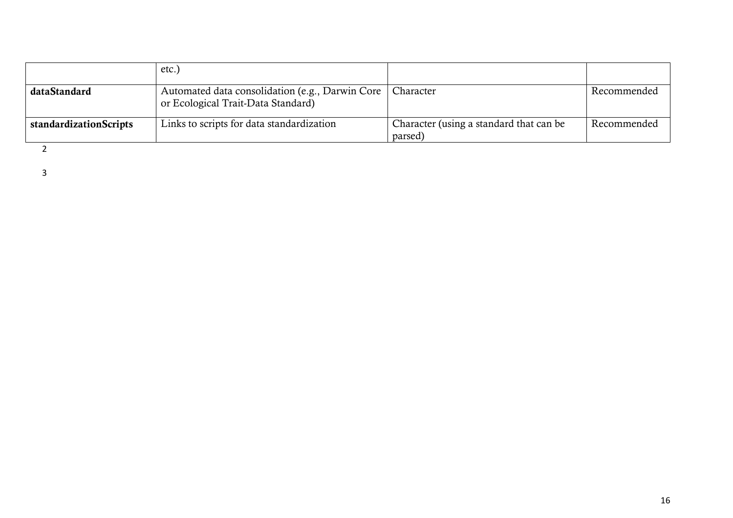|                               | etc.)                                                                                 |                                                    |               |
|-------------------------------|---------------------------------------------------------------------------------------|----------------------------------------------------|---------------|
| dataStandard                  | Automated data consolidation (e.g., Darwin Core<br>or Ecological Trait-Data Standard) | Character                                          | ' Recommended |
| <b>standardizationScripts</b> | Links to scripts for data standardization                                             | Character (using a standard that can be<br>parsed) | Recommended   |

2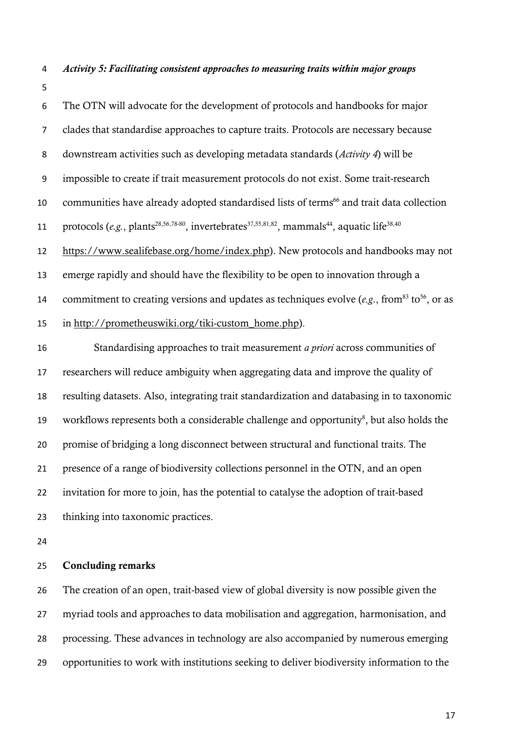- *Activity 5: Facilitating consistent approaches to measuring traits within major groups*
- 

 The OTN will advocate for the development of protocols and handbooks for major clades that standardise approaches to capture traits. Protocols are necessary because downstream activities such as developing metadata standards (*Activity 4*) will be impossible to create if trait measurement protocols do not exist. Some trait-research 10 communities have already adopted standardised lists of terms<sup>66</sup> and trait data collection 11 protocols  $(e.g., plants^{28,56,78-80}, invertebrates^{37,55,81,82}, mammals^{44}, aquatic life^{38,40})$  [https://www.sealifebase.org/home/index.php\)](https://www.sealifebase.org/home/index.php). New protocols and handbooks may not emerge rapidly and should have the flexibility to be open to innovation through a 14 commitment to creating versions and updates as techniques evolve ( $e.g., from<sup>83</sup> to<sup>56</sup>$ , or as in [http://prometheuswiki.org/tiki-custom\\_home.php\)](http://prometheuswiki.org/tiki-custom_home.php). Standardising approaches to trait measurement *a priori* across communities of researchers will reduce ambiguity when aggregating data and improve the quality of resulting datasets. Also, integrating trait standardization and databasing in to taxonomic workflows represents both a considerable challenge and opportunity $\delta$ , but also holds the promise of bridging a long disconnect between structural and functional traits. The presence of a range of biodiversity collections personnel in the OTN, and an open invitation for more to join, has the potential to catalyse the adoption of trait-based thinking into taxonomic practices.

## Concluding remarks

 The creation of an open, trait-based view of global diversity is now possible given the myriad tools and approaches to data mobilisation and aggregation, harmonisation, and processing. These advances in technology are also accompanied by numerous emerging opportunities to work with institutions seeking to deliver biodiversity information to the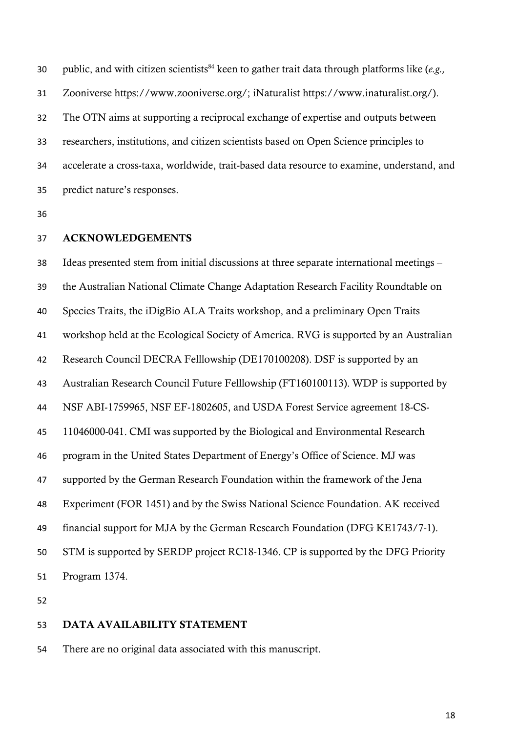30 public, and with citizen scientists<sup>84</sup> keen to gather trait data through platforms like (*e.g.*, Zooniverse [https://www.zooniverse.org/;](https://www.zooniverse.org/) iNaturalist [https://www.inaturalist.org/\)](https://www.inaturalist.org/). The OTN aims at supporting a reciprocal exchange of expertise and outputs between researchers, institutions, and citizen scientists based on Open Science principles to accelerate a cross-taxa, worldwide, trait-based data resource to examine, understand, and predict nature's responses.

#### ACKNOWLEDGEMENTS

 Ideas presented stem from initial discussions at three separate international meetings – the Australian National Climate Change Adaptation Research Facility Roundtable on Species Traits, the iDigBio ALA Traits workshop, and a preliminary Open Traits workshop held at the Ecological Society of America. RVG is supported by an Australian Research Council DECRA Felllowship (DE170100208). DSF is supported by an Australian Research Council Future Felllowship (FT160100113). WDP is supported by NSF ABI-1759965, NSF EF-1802605, and USDA Forest Service agreement 18-CS- 11046000-041. CMI was supported by the Biological and Environmental Research program in the United States Department of Energy's Office of Science. MJ was supported by the German Research Foundation within the framework of the Jena Experiment (FOR 1451) and by the Swiss National Science Foundation. AK received financial support for MJA by the German Research Foundation (DFG KE1743/7-1). STM is supported by SERDP project RC18-1346. CP is supported by the DFG Priority Program 1374.

## DATA AVAILABILITY STATEMENT

There are no original data associated with this manuscript.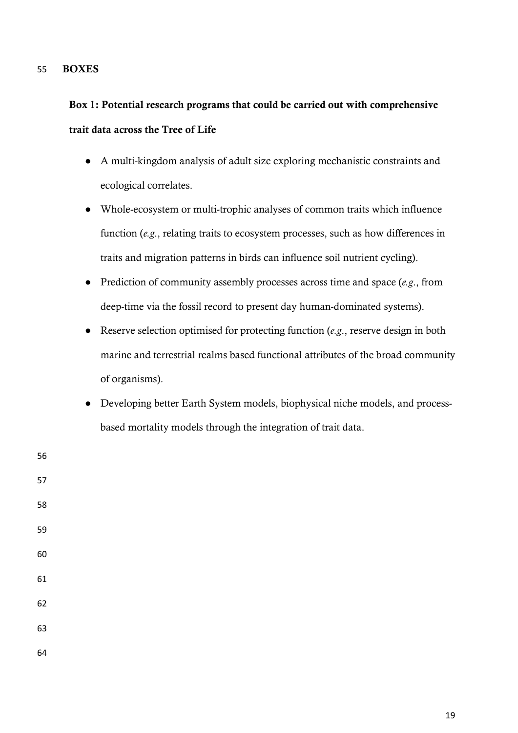## 55 BOXES

# Box 1: Potential research programs that could be carried out with comprehensive trait data across the Tree of Life

- A multi-kingdom analysis of adult size exploring mechanistic constraints and ecological correlates.
- Whole-ecosystem or multi-trophic analyses of common traits which influence function (*e.g*., relating traits to ecosystem processes, such as how differences in traits and migration patterns in birds can influence soil nutrient cycling).
- Prediction of community assembly processes across time and space (*e.g*., from deep-time via the fossil record to present day human-dominated systems).
- Reserve selection optimised for protecting function (*e.g*., reserve design in both marine and terrestrial realms based functional attributes of the broad community of organisms).
- Developing better Earth System models, biophysical niche models, and processbased mortality models through the integration of trait data.

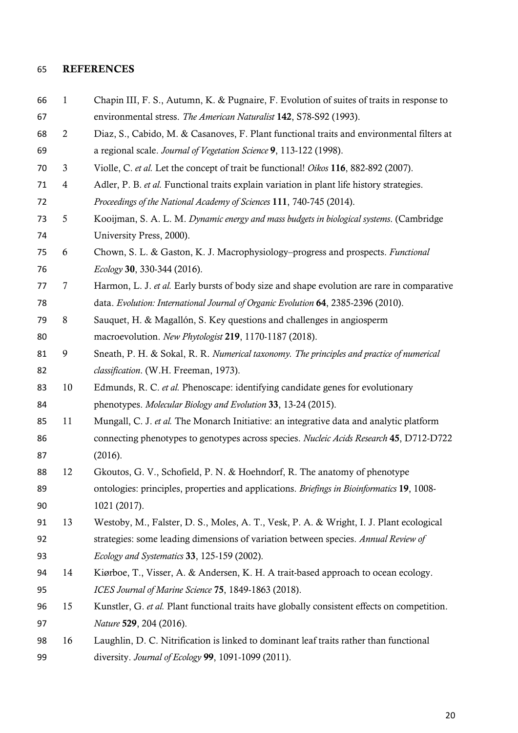#### REFERENCES

- 1 Chapin III, F. S., Autumn, K. & Pugnaire, F. Evolution of suites of traits in response to environmental stress. *The American Naturalist* 142, S78-S92 (1993). 2 Diaz, S., Cabido, M. & Casanoves, F. Plant functional traits and environmental filters at a regional scale. *Journal of Vegetation Science* 9, 113-122 (1998). 3 Violle, C. *et al.* Let the concept of trait be functional! *Oikos* 116, 882-892 (2007). 4 Adler, P. B. *et al.* Functional traits explain variation in plant life history strategies. *Proceedings of the National Academy of Sciences* 111, 740-745 (2014). 5 Kooijman, S. A. L. M. *Dynamic energy and mass budgets in biological systems*. (Cambridge University Press, 2000). 6 Chown, S. L. & Gaston, K. J. Macrophysiology–progress and prospects. *Functional Ecology* 30, 330-344 (2016). 7 Harmon, L. J. *et al.* Early bursts of body size and shape evolution are rare in comparative data. *Evolution: International Journal of Organic Evolution* 64, 2385-2396 (2010). 8 Sauquet, H. & Magallón, S. Key questions and challenges in angiosperm macroevolution. *New Phytologist* 219, 1170-1187 (2018). 9 Sneath, P. H. & Sokal, R. R. *Numerical taxonomy. The principles and practice of numerical classification*. (W.H. Freeman, 1973). 10 Edmunds, R. C. *et al.* Phenoscape: identifying candidate genes for evolutionary phenotypes. *Molecular Biology and Evolution* 33, 13-24 (2015). 11 Mungall, C. J. *et al.* The Monarch Initiative: an integrative data and analytic platform
- connecting phenotypes to genotypes across species. *Nucleic Acids Research* 45, D712-D722 (2016).
- 12 Gkoutos, G. V., Schofield, P. N. & Hoehndorf, R. The anatomy of phenotype ontologies: principles, properties and applications. *Briefings in Bioinformatics* 19, 1008- 1021 (2017).
- 13 Westoby, M., Falster, D. S., Moles, A. T., Vesk, P. A. & Wright, I. J. Plant ecological strategies: some leading dimensions of variation between species. *Annual Review of Ecology and Systematics* 33, 125-159 (2002).
- 14 Kiørboe, T., Visser, A. & Andersen, K. H. A trait-based approach to ocean ecology. *ICES Journal of Marine Science* 75, 1849-1863 (2018).
- 15 Kunstler, G. *et al.* Plant functional traits have globally consistent effects on competition. *Nature* 529, 204 (2016).
- 16 Laughlin, D. C. Nitrification is linked to dominant leaf traits rather than functional diversity. *Journal of Ecology* 99, 1091-1099 (2011).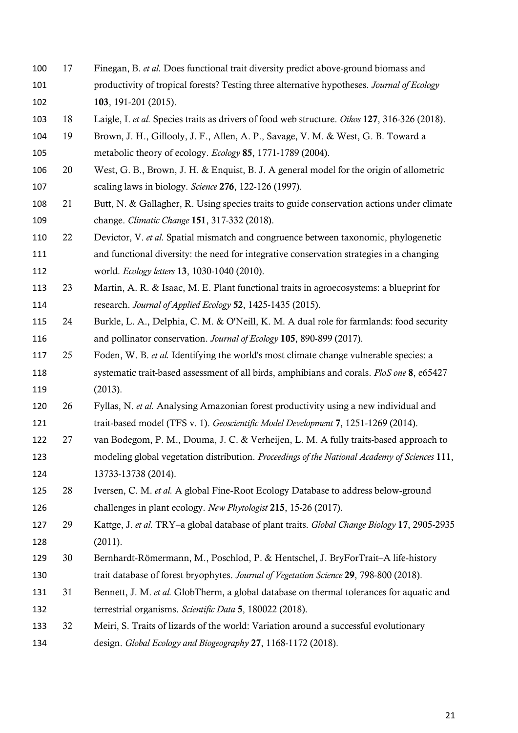- 17 Finegan, B. *et al.* Does functional trait diversity predict above-ground biomass and productivity of tropical forests? Testing three alternative hypotheses. *Journal of Ecology* 103, 191-201 (2015).
- 18 Laigle, I. *et al.* Species traits as drivers of food web structure. *Oikos* 127, 316-326 (2018).
- 19 Brown, J. H., Gillooly, J. F., Allen, A. P., Savage, V. M. & West, G. B. Toward a metabolic theory of ecology. *Ecology* 85, 1771-1789 (2004).
- 20 West, G. B., Brown, J. H. & Enquist, B. J. A general model for the origin of allometric scaling laws in biology. *Science* 276, 122-126 (1997).
- 21 Butt, N. & Gallagher, R. Using species traits to guide conservation actions under climate change. *Climatic Change* 151, 317-332 (2018).
- 22 Devictor, V. *et al.* Spatial mismatch and congruence between taxonomic, phylogenetic and functional diversity: the need for integrative conservation strategies in a changing world. *Ecology letters* 13, 1030-1040 (2010).
- 23 Martin, A. R. & Isaac, M. E. Plant functional traits in agroecosystems: a blueprint for research. *Journal of Applied Ecology* 52, 1425-1435 (2015).
- 24 Burkle, L. A., Delphia, C. M. & O'Neill, K. M. A dual role for farmlands: food security and pollinator conservation. *Journal of Ecology* 105, 890-899 (2017).
- 25 Foden, W. B. *et al.* Identifying the world's most climate change vulnerable species: a systematic trait-based assessment of all birds, amphibians and corals. *PloS one* 8, e65427 (2013).
- 26 Fyllas, N. *et al.* Analysing Amazonian forest productivity using a new individual and trait-based model (TFS v. 1). *Geoscientific Model Development* 7, 1251-1269 (2014).
- 27 van Bodegom, P. M., Douma, J. C. & Verheijen, L. M. A fully traits-based approach to modeling global vegetation distribution. *Proceedings of the National Academy of Sciences* 111, 13733-13738 (2014).
- 28 Iversen, C. M. *et al.* A global Fine‐Root Ecology Database to address below‐ground challenges in plant ecology. *New Phytologist* 215, 15-26 (2017).
- 29 Kattge, J. *et al.* TRY–a global database of plant traits. *Global Change Biology* 17, 2905-2935 (2011).
- 30 Bernhardt‐Römermann, M., Poschlod, P. & Hentschel, J. BryForTrait–A life‐history trait database of forest bryophytes. *Journal of Vegetation Science* 29, 798-800 (2018).
- 31 Bennett, J. M. *et al.* GlobTherm, a global database on thermal tolerances for aquatic and terrestrial organisms. *Scientific Data* 5, 180022 (2018).
- 32 Meiri, S. Traits of lizards of the world: Variation around a successful evolutionary design. *Global Ecology and Biogeography* 27, 1168-1172 (2018).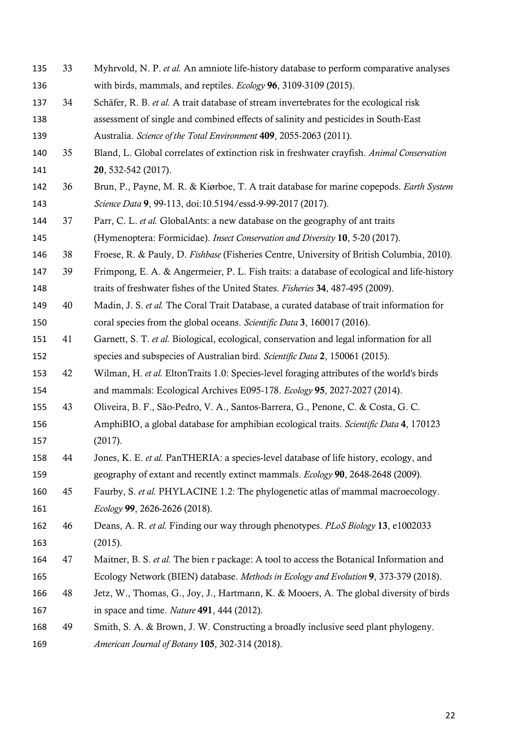- 33 Myhrvold, N. P. *et al.* An amniote life‐history database to perform comparative analyses with birds, mammals, and reptiles. *Ecology* 96, 3109-3109 (2015).
- 34 Schäfer, R. B. *et al.* A trait database of stream invertebrates for the ecological risk assessment of single and combined effects of salinity and pesticides in South-East

Australia. *Science of the Total Environment* 409, 2055-2063 (2011).

- 35 Bland, L. Global correlates of extinction risk in freshwater crayfish. *Animal Conservation* 20, 532-542 (2017).
- 36 Brun, P., Payne, M. R. & Kiørboe, T. A trait database for marine copepods. *Earth System Science Data* 9, 99-113, doi:10.5194/essd-9-99-2017 (2017).
- 37 Parr, C. L. *et al.* GlobalAnts: a new database on the geography of ant traits (Hymenoptera: Formicidae). *Insect Conservation and Diversity* 10, 5-20 (2017).
- 38 Froese, R. & Pauly, D. *Fishbase* (Fisheries Centre, University of British Columbia, 2010).
- 39 Frimpong, E. A. & Angermeier, P. L. Fish traits: a database of ecological and life-history traits of freshwater fishes of the United States. *Fisheries* 34, 487-495 (2009).
- 40 Madin, J. S. *et al.* The Coral Trait Database, a curated database of trait information for coral species from the global oceans. *Scientific Data* 3, 160017 (2016).
- 41 Garnett, S. T. *et al.* Biological, ecological, conservation and legal information for all species and subspecies of Australian bird. *Scientific Data* 2, 150061 (2015).
- 42 Wilman, H. *et al.* EltonTraits 1.0: Species‐level foraging attributes of the world's birds and mammals: Ecological Archives E095‐178. *Ecology* 95, 2027-2027 (2014).
- 43 Oliveira, B. F., São-Pedro, V. A., Santos-Barrera, G., Penone, C. & Costa, G. C. AmphiBIO, a global database for amphibian ecological traits. *Scientific Data* 4, 170123 (2017).
- 44 Jones, K. E. *et al.* PanTHERIA: a species‐level database of life history, ecology, and geography of extant and recently extinct mammals. *Ecology* 90, 2648-2648 (2009).
- 45 Faurby, S. *et al.* PHYLACINE 1.2: The phylogenetic atlas of mammal macroecology. *Ecology* 99, 2626-2626 (2018).
- 46 Deans, A. R. *et al.* Finding our way through phenotypes. *PLoS Biology* 13, e1002033 (2015).
- 47 Maitner, B. S. *et al.* The bien r package: A tool to access the Botanical Information and Ecology Network (BIEN) database. *Methods in Ecology and Evolution* 9, 373-379 (2018).
- 48 Jetz, W., Thomas, G., Joy, J., Hartmann, K. & Mooers, A. The global diversity of birds in space and time. *Nature* 491, 444 (2012).
- 49 Smith, S. A. & Brown, J. W. Constructing a broadly inclusive seed plant phylogeny. *American Journal of Botany* 105, 302-314 (2018).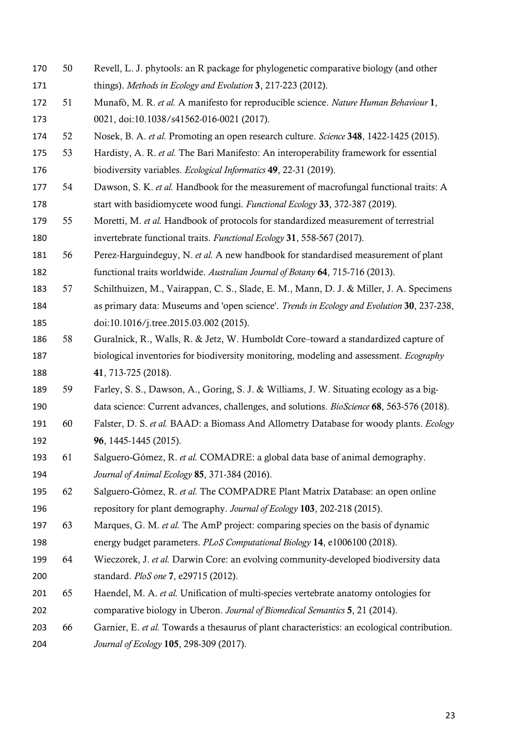- 50 Revell, L. J. phytools: an R package for phylogenetic comparative biology (and other things). *Methods in Ecology and Evolution* 3, 217-223 (2012).
- 51 Munafò, M. R. *et al.* A manifesto for reproducible science. *Nature Human Behaviour* 1, 0021, doi:10.1038/s41562-016-0021 (2017).
- 52 Nosek, B. A. *et al.* Promoting an open research culture. *Science* 348, 1422-1425 (2015).
- 53 Hardisty, A. R. *et al.* The Bari Manifesto: An interoperability framework for essential biodiversity variables. *Ecological Informatics* 49, 22-31 (2019).
- 54 Dawson, S. K. *et al.* Handbook for the measurement of macrofungal functional traits: A start with basidiomycete wood fungi. *Functional Ecology* 33, 372-387 (2019).
- 55 Moretti, M. *et al.* Handbook of protocols for standardized measurement of terrestrial invertebrate functional traits. *Functional Ecology* 31, 558-567 (2017).
- 56 Perez-Harguindeguy, N. *et al.* A new handbook for standardised measurement of plant functional traits worldwide. *Australian Journal of Botany* 64, 715-716 (2013).
- 57 Schilthuizen, M., Vairappan, C. S., Slade, E. M., Mann, D. J. & Miller, J. A. Specimens as primary data: Museums and 'open science'. *Trends in Ecology and Evolution* 30, 237-238, doi:10.1016/j.tree.2015.03.002 (2015).
- 58 Guralnick, R., Walls, R. & Jetz, W. Humboldt Core–toward a standardized capture of biological inventories for biodiversity monitoring, modeling and assessment. *Ecography* 41, 713-725 (2018).
- 59 Farley, S. S., Dawson, A., Goring, S. J. & Williams, J. W. Situating ecology as a big-data science: Current advances, challenges, and solutions. *BioScience* 68, 563-576 (2018).
- 60 Falster, D. S. *et al.* BAAD: a Biomass And Allometry Database for woody plants. *Ecology* **96**, 1445-1445 (2015).
- 61 Salguero‐Gómez, R. *et al.* COMADRE: a global data base of animal demography. *Journal of Animal Ecology* 85, 371-384 (2016).
- 62 Salguero‐Gómez, R. *et al.* The COMPADRE Plant Matrix Database: an open online repository for plant demography. *Journal of Ecology* 103, 202-218 (2015).
- 63 Marques, G. M. *et al.* The AmP project: comparing species on the basis of dynamic energy budget parameters. *PLoS Computational Biology* 14, e1006100 (2018).
- 64 Wieczorek, J. *et al.* Darwin Core: an evolving community-developed biodiversity data standard. *PloS one* 7, e29715 (2012).
- 65 Haendel, M. A. *et al.* Unification of multi-species vertebrate anatomy ontologies for comparative biology in Uberon. *Journal of Biomedical Semantics* 5, 21 (2014).
- 66 Garnier, E. *et al.* Towards a thesaurus of plant characteristics: an ecological contribution. *Journal of Ecology* 105, 298-309 (2017).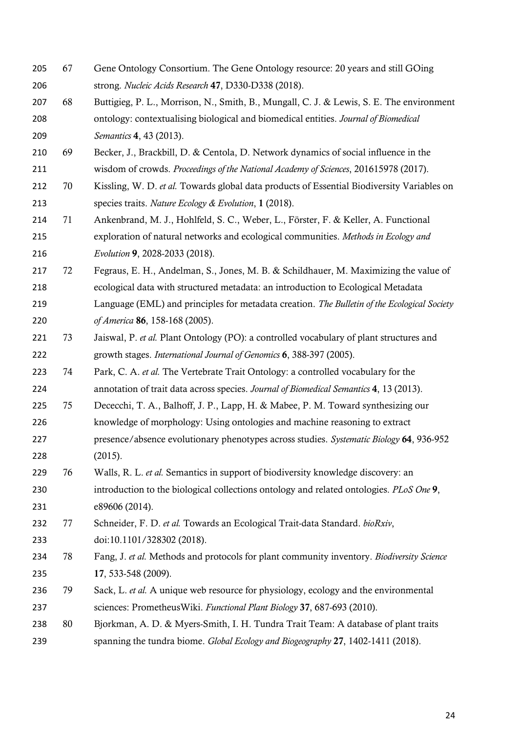- 67 Gene Ontology Consortium. The Gene Ontology resource: 20 years and still GOing strong. *Nucleic Acids Research* 47, D330-D338 (2018).
- 207 68 Buttigieg, P. L., Morrison, N., Smith, B., Mungall, C. J. & Lewis, S. E. The environment ontology: contextualising biological and biomedical entities. *Journal of Biomedical Semantics* 4, 43 (2013).
- 69 Becker, J., Brackbill, D. & Centola, D. Network dynamics of social influence in the wisdom of crowds. *Proceedings of the National Academy of Sciences*, 201615978 (2017).
- 70 Kissling, W. D. *et al.* Towards global data products of Essential Biodiversity Variables on species traits. *Nature Ecology & Evolution*, 1 (2018).
- 71 Ankenbrand, M. J., Hohlfeld, S. C., Weber, L., Förster, F. & Keller, A. Functional exploration of natural networks and ecological communities. *Methods in Ecology and Evolution* 9, 2028-2033 (2018).
- 72 Fegraus, E. H., Andelman, S., Jones, M. B. & Schildhauer, M. Maximizing the value of ecological data with structured metadata: an introduction to Ecological Metadata
- Language (EML) and principles for metadata creation. *The Bulletin of the Ecological Society of America* 86, 158-168 (2005).
- 73 Jaiswal, P. *et al.* Plant Ontology (PO): a controlled vocabulary of plant structures and growth stages. *International Journal of Genomics* 6, 388-397 (2005).
- 74 Park, C. A. *et al.* The Vertebrate Trait Ontology: a controlled vocabulary for the annotation of trait data across species. *Journal of Biomedical Semantics* 4, 13 (2013).
- 75 Dececchi, T. A., Balhoff, J. P., Lapp, H. & Mabee, P. M. Toward synthesizing our knowledge of morphology: Using ontologies and machine reasoning to extract presence/absence evolutionary phenotypes across studies. *Systematic Biology* 64, 936-952
- (2015).
- 76 Walls, R. L. *et al.* Semantics in support of biodiversity knowledge discovery: an introduction to the biological collections ontology and related ontologies. *PLoS One* 9, e89606 (2014).
- 77 Schneider, F. D. *et al.* Towards an Ecological Trait-data Standard. *bioRxiv*, doi:10.1101/328302 (2018).
- 78 Fang, J. *et al.* Methods and protocols for plant community inventory. *Biodiversity Science* 17, 533-548 (2009).
- 79 Sack, L. *et al.* A unique web resource for physiology, ecology and the environmental sciences: PrometheusWiki. *Functional Plant Biology* 37, 687-693 (2010).
- 80 Bjorkman, A. D. & Myers-Smith, I. H. Tundra Trait Team: A database of plant traits spanning the tundra biome. *Global Ecology and Biogeography* 27, 1402-1411 (2018).